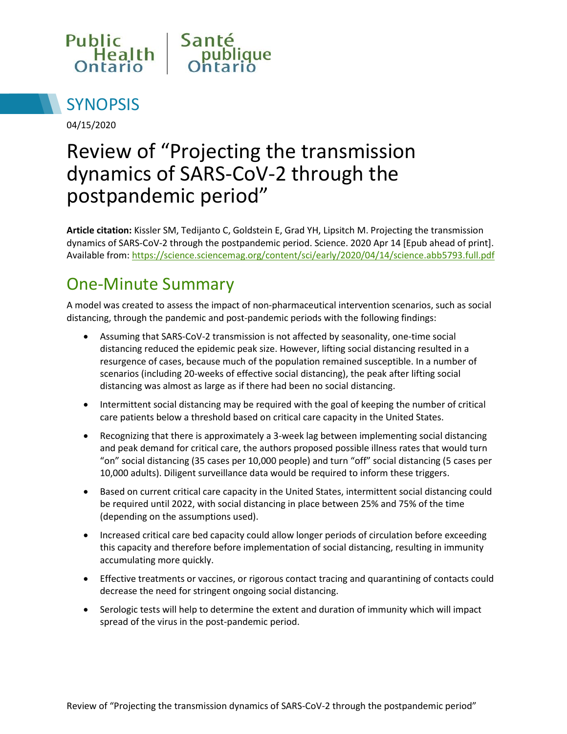



04/15/2020

# Review of "Projecting the transmission dynamics of SARS-CoV-2 through the postpandemic period"

**Article citation:** Kissler SM, Tedijanto C, Goldstein E, Grad YH, Lipsitch M. Projecting the transmission dynamics of SARS-CoV-2 through the postpandemic period. Science. 2020 Apr 14 [Epub ahead of print]. Available from[: https://science.sciencemag.org/content/sci/early/2020/04/14/science.abb5793.full.pdf](https://science.sciencemag.org/content/sci/early/2020/04/14/science.abb5793.full.pdf)

#### One-Minute Summary

A model was created to assess the impact of non-pharmaceutical intervention scenarios, such as social distancing, through the pandemic and post-pandemic periods with the following findings:

- Assuming that SARS-CoV-2 transmission is not affected by seasonality, one-time social distancing reduced the epidemic peak size. However, lifting social distancing resulted in a resurgence of cases, because much of the population remained susceptible. In a number of scenarios (including 20-weeks of effective social distancing), the peak after lifting social distancing was almost as large as if there had been no social distancing.
- Intermittent social distancing may be required with the goal of keeping the number of critical care patients below a threshold based on critical care capacity in the United States.
- Recognizing that there is approximately a 3-week lag between implementing social distancing and peak demand for critical care, the authors proposed possible illness rates that would turn "on" social distancing (35 cases per 10,000 people) and turn "off" social distancing (5 cases per 10,000 adults). Diligent surveillance data would be required to inform these triggers.
- Based on current critical care capacity in the United States, intermittent social distancing could be required until 2022, with social distancing in place between 25% and 75% of the time (depending on the assumptions used).
- Increased critical care bed capacity could allow longer periods of circulation before exceeding this capacity and therefore before implementation of social distancing, resulting in immunity accumulating more quickly.
- Effective treatments or vaccines, or rigorous contact tracing and quarantining of contacts could decrease the need for stringent ongoing social distancing.
- Serologic tests will help to determine the extent and duration of immunity which will impact spread of the virus in the post-pandemic period.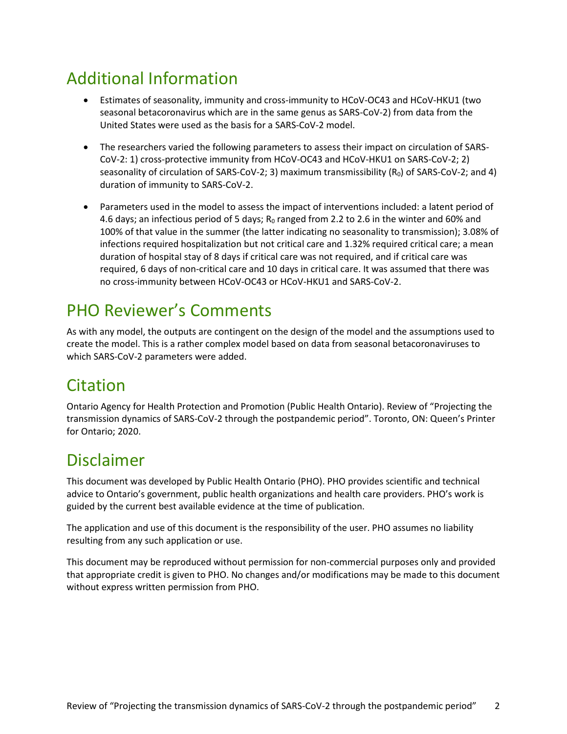# Additional Information

- Estimates of seasonality, immunity and cross-immunity to HCoV-OC43 and HCoV-HKU1 (two seasonal betacoronavirus which are in the same genus as SARS-CoV-2) from data from the United States were used as the basis for a SARS-CoV-2 model.
- The researchers varied the following parameters to assess their impact on circulation of SARS-CoV-2: 1) cross-protective immunity from HCoV-OC43 and HCoV-HKU1 on SARS-CoV-2; 2) seasonality of circulation of SARS-CoV-2; 3) maximum transmissibility  $(R_0)$  of SARS-CoV-2; and 4) duration of immunity to SARS-CoV-2.
- Parameters used in the model to assess the impact of interventions included: a latent period of 4.6 days; an infectious period of 5 days; R<sub>0</sub> ranged from 2.2 to 2.6 in the winter and 60% and 100% of that value in the summer (the latter indicating no seasonality to transmission); 3.08% of infections required hospitalization but not critical care and 1.32% required critical care; a mean duration of hospital stay of 8 days if critical care was not required, and if critical care was required, 6 days of non-critical care and 10 days in critical care. It was assumed that there was no cross-immunity between HCoV-OC43 or HCoV-HKU1 and SARS-CoV-2.

#### PHO Reviewer's Comments

As with any model, the outputs are contingent on the design of the model and the assumptions used to create the model. This is a rather complex model based on data from seasonal betacoronaviruses to which SARS-CoV-2 parameters were added.

## Citation

Ontario Agency for Health Protection and Promotion (Public Health Ontario). Review of "Projecting the transmission dynamics of SARS-CoV-2 through the postpandemic period". Toronto, ON: Queen's Printer for Ontario; 2020.

### Disclaimer

This document was developed by Public Health Ontario (PHO). PHO provides scientific and technical advice to Ontario's government, public health organizations and health care providers. PHO's work is guided by the current best available evidence at the time of publication.

The application and use of this document is the responsibility of the user. PHO assumes no liability resulting from any such application or use.

This document may be reproduced without permission for non-commercial purposes only and provided that appropriate credit is given to PHO. No changes and/or modifications may be made to this document without express written permission from PHO.